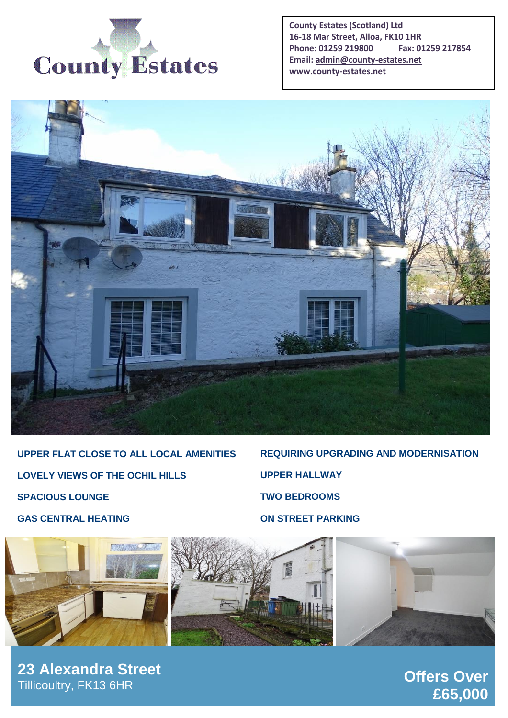

**County Estates (Scotland) Ltd 16-18 Mar Street, Alloa, FK10 1HR Phone: 01259 219800 Fax: 01259 217854 Email[: admin@county-estates.net](mailto:admin@county-estates.net) www.county-estates.net**



**UPPER FLAT CLOSE TO ALL LOCAL AMENITIES LOVELY VIEWS OF THE OCHIL HILLS SPACIOUS LOUNGE GAS CENTRAL HEATING**

**REQUIRING UPGRADING AND MODERNISATION UPPER HALLWAY TWO BEDROOMS ON STREET PARKING**



**23 Alexandra Street** Tillicoultry, FK13 6HR

**Offers Over £65,000**